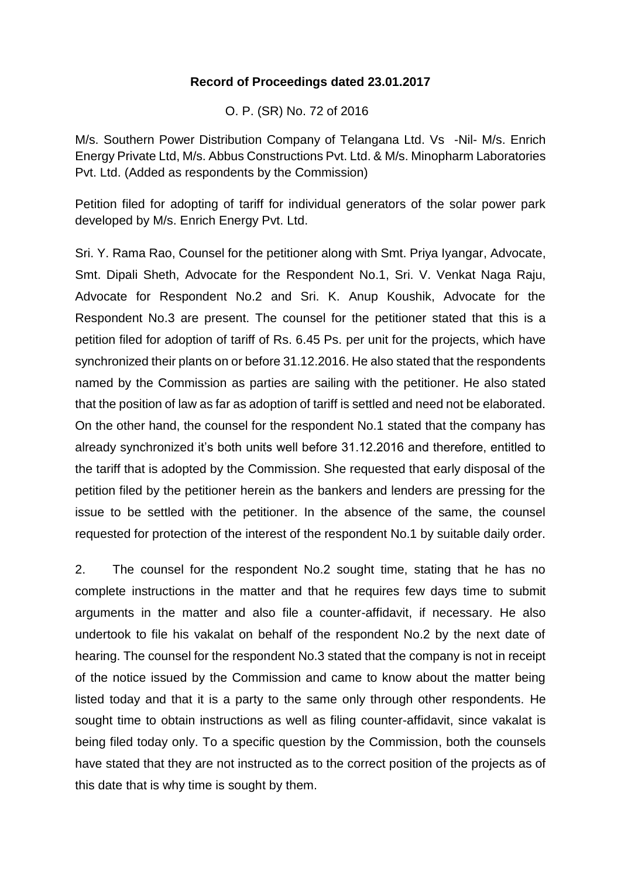## **Record of Proceedings dated 23.01.2017**

O. P. (SR) No. 72 of 2016

M/s. Southern Power Distribution Company of Telangana Ltd. Vs -Nil- M/s. Enrich Energy Private Ltd, M/s. Abbus Constructions Pvt. Ltd. & M/s. Minopharm Laboratories Pvt. Ltd. (Added as respondents by the Commission)

Petition filed for adopting of tariff for individual generators of the solar power park developed by M/s. Enrich Energy Pvt. Ltd.

Sri. Y. Rama Rao, Counsel for the petitioner along with Smt. Priya Iyangar, Advocate, Smt. Dipali Sheth, Advocate for the Respondent No.1, Sri. V. Venkat Naga Raju, Advocate for Respondent No.2 and Sri. K. Anup Koushik, Advocate for the Respondent No.3 are present. The counsel for the petitioner stated that this is a petition filed for adoption of tariff of Rs. 6.45 Ps. per unit for the projects, which have synchronized their plants on or before 31.12.2016. He also stated that the respondents named by the Commission as parties are sailing with the petitioner. He also stated that the position of law as far as adoption of tariff is settled and need not be elaborated. On the other hand, the counsel for the respondent No.1 stated that the company has already synchronized it's both units well before 31.12.2016 and therefore, entitled to the tariff that is adopted by the Commission. She requested that early disposal of the petition filed by the petitioner herein as the bankers and lenders are pressing for the issue to be settled with the petitioner. In the absence of the same, the counsel requested for protection of the interest of the respondent No.1 by suitable daily order.

2. The counsel for the respondent No.2 sought time, stating that he has no complete instructions in the matter and that he requires few days time to submit arguments in the matter and also file a counter-affidavit, if necessary. He also undertook to file his vakalat on behalf of the respondent No.2 by the next date of hearing. The counsel for the respondent No.3 stated that the company is not in receipt of the notice issued by the Commission and came to know about the matter being listed today and that it is a party to the same only through other respondents. He sought time to obtain instructions as well as filing counter-affidavit, since vakalat is being filed today only. To a specific question by the Commission, both the counsels have stated that they are not instructed as to the correct position of the projects as of this date that is why time is sought by them.